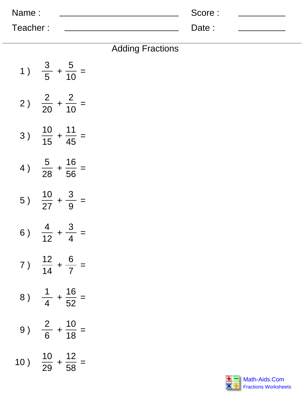| Name:    | Score: |  |
|----------|--------|--|
| Teacher: | Date:  |  |

| 1)  | $rac{3}{5} + \frac{5}{10} =$        |
|-----|-------------------------------------|
| 2)  | $rac{2}{20} + \frac{2}{10} =$       |
| 3)  | $\frac{10}{15} + \frac{11}{45} =$   |
| 4)  | $\frac{5}{28} + \frac{16}{56} =$    |
| 5)  | $\frac{10}{27} + \frac{3}{9} =$     |
| 6)  | $\frac{4}{12} + \frac{3}{4} =$      |
| 7)  | $\frac{12}{14} + \frac{6}{7} =$     |
| 8)  | $+\frac{16}{52}$<br>$\frac{1}{4}$   |
| 9)  | $\frac{2}{6}$<br>$+\frac{10}{18}$   |
| 10) | $\frac{10}{29}$<br>$+\frac{12}{58}$ |